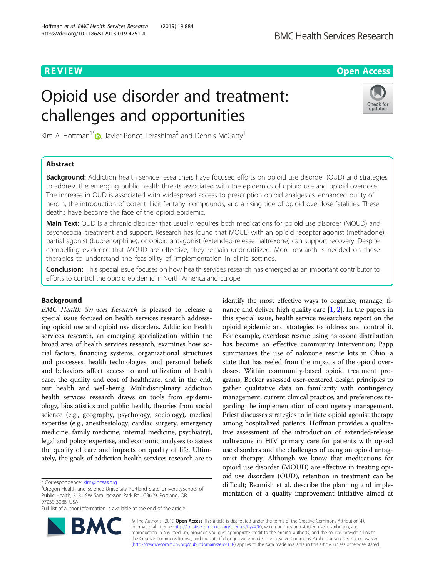# R EVI EW Open Access

# Opioid use disorder and treatment: challenges and opportunities



Kim A. Hoffman<sup>1\*</sup>  $\bullet$ , Javier Ponce Terashima<sup>2</sup> and Dennis McCarty<sup>1</sup>

## Abstract

**Background:** Addiction health service researchers have focused efforts on opioid use disorder (OUD) and strategies to address the emerging public health threats associated with the epidemics of opioid use and opioid overdose. The increase in OUD is associated with widespread access to prescription opioid analgesics, enhanced purity of heroin, the introduction of potent illicit fentanyl compounds, and a rising tide of opioid overdose fatalities. These deaths have become the face of the opioid epidemic.

Main Text: OUD is a chronic disorder that usually requires both medications for opioid use disorder (MOUD) and psychosocial treatment and support. Research has found that MOUD with an opioid receptor agonist (methadone), partial agonist (buprenorphine), or opioid antagonist (extended-release naltrexone) can support recovery. Despite compelling evidence that MOUD are effective, they remain underutilized. More research is needed on these therapies to understand the feasibility of implementation in clinic settings.

Conclusion: This special issue focuses on how health services research has emerged as an important contributor to efforts to control the opioid epidemic in North America and Europe.

### Background

BMC Health Services Research is pleased to release a special issue focused on health services research addressing opioid use and opioid use disorders. Addiction health services research, an emerging specialization within the broad area of health services research, examines how social factors, financing systems, organizational structures and processes, health technologies, and personal beliefs and behaviors affect access to and utilization of health care, the quality and cost of healthcare, and in the end, our health and well-being. Multidisciplinary addiction health services research draws on tools from epidemiology, biostatistics and public health, theories from social science (e.g., geography, psychology, sociology), medical expertise (e.g., anesthesiology, cardiac surgery, emergency medicine, family medicine, internal medicine, psychiatry), legal and policy expertise, and economic analyses to assess the quality of care and impacts on quality of life. Ultimately, the goals of addiction health services research are to

**BM** 



identify the most effective ways to organize, manage, finance and deliver high quality care [[1](#page-3-0), [2](#page-3-0)]. In the papers in this special issue, health service researchers report on the opioid epidemic and strategies to address and control it.

© The Author(s). 2019 Open Access This article is distributed under the terms of the Creative Commons Attribution 4.0 International License [\(http://creativecommons.org/licenses/by/4.0/](http://creativecommons.org/licenses/by/4.0/)), which permits unrestricted use, distribution, and reproduction in any medium, provided you give appropriate credit to the original author(s) and the source, provide a link to the Creative Commons license, and indicate if changes were made. The Creative Commons Public Domain Dedication waiver [\(http://creativecommons.org/publicdomain/zero/1.0/](http://creativecommons.org/publicdomain/zero/1.0/)) applies to the data made available in this article, unless otherwise stated.

<sup>\*</sup> Correspondence: [kim@incaas.org](mailto:kim@incaas.org) <sup>1</sup>

<sup>&</sup>lt;sup>1</sup>Oregon Health and Science University-Portland State UniversitySchool of Public Health, 3181 SW Sam Jackson Park Rd., CB669, Portland, OR 97239-3088, USA

Full list of author information is available at the end of the article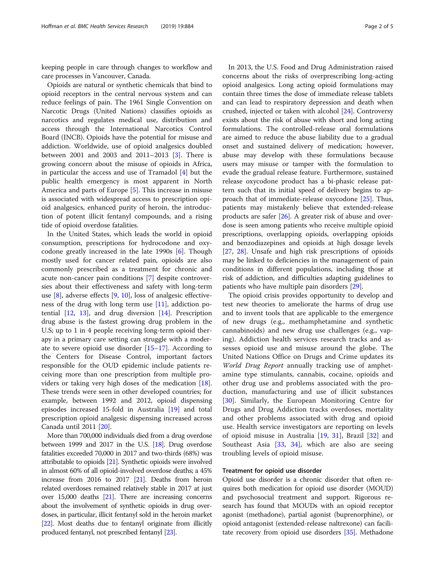keeping people in care through changes to workflow and care processes in Vancouver, Canada.

Opioids are natural or synthetic chemicals that bind to opioid receptors in the central nervous system and can reduce feelings of pain. The 1961 Single Convention on Narcotic Drugs (United Nations) classifies opioids as narcotics and regulates medical use, distribution and access through the International Narcotics Control Board (INCB). Opioids have the potential for misuse and addiction. Worldwide, use of opioid analgesics doubled between 2001 and 2003 and 2011–2013 [\[3](#page-3-0)]. There is growing concern about the misuse of opioids in Africa, in particular the access and use of Tramadol [\[4](#page-3-0)] but the public health emergency is most apparent in North America and parts of Europe [\[5](#page-3-0)]. This increase in misuse is associated with widespread access to prescription opioid analgesics, enhanced purity of heroin, the introduction of potent illicit fentanyl compounds, and a rising tide of opioid overdose fatalities.

In the United States, which leads the world in opioid consumption, prescriptions for hydrocodone and oxycodone greatly increased in the late 1990s [[6\]](#page-3-0). Though mostly used for cancer related pain, opioids are also commonly prescribed as a treatment for chronic and acute non-cancer pain conditions [\[7](#page-3-0)] despite controversies about their effectiveness and safety with long-term use [[8](#page-3-0)], adverse effects [[9,](#page-3-0) [10\]](#page-3-0), loss of analgesic effectiveness of the drug with long term use [[11\]](#page-3-0), addiction potential  $[12, 13]$  $[12, 13]$  $[12, 13]$  $[12, 13]$ , and drug diversion  $[14]$  $[14]$ . Prescription drug abuse is the fastest growing drug problem in the U.S; up to 1 in 4 people receiving long-term opioid therapy in a primary care setting can struggle with a moderate to severe opioid use disorder [\[15](#page-4-0)–[17\]](#page-4-0). According to the Centers for Disease Control, important factors responsible for the OUD epidemic include patients receiving more than one prescription from multiple providers or taking very high doses of the medication [\[18](#page-4-0)]. These trends were seen in other developed countries; for example, between 1992 and 2012, opioid dispensing episodes increased 15-fold in Australia [\[19](#page-4-0)] and total prescription opioid analgesic dispensing increased across Canada until 2011 [[20\]](#page-4-0).

More than 700,000 individuals died from a drug overdose between 1999 and 2017 in the U.S. [\[18](#page-4-0)]. Drug overdose fatalities exceeded 70,000 in 2017 and two-thirds (68%) was attributable to opioids [\[21](#page-4-0)]. Synthetic opioids were involved in almost 60% of all opioid-involved overdose deaths; a 45% increase from 2016 to 2017 [\[21\]](#page-4-0). Deaths from heroin related overdoses remained relatively stable in 2017 at just over 15,000 deaths [\[21](#page-4-0)]. There are increasing concerns about the involvement of synthetic opioids in drug overdoses, in particular, illicit fentanyl sold in the heroin market [[22](#page-4-0)]. Most deaths due to fentanyl originate from illicitly produced fentanyl, not prescribed fentanyl [[23](#page-4-0)].

In 2013, the U.S. Food and Drug Administration raised concerns about the risks of overprescribing long-acting opioid analgesics. Long acting opioid formulations may contain three times the dose of immediate release tablets and can lead to respiratory depression and death when crushed, injected or taken with alcohol [[24](#page-4-0)]. Controversy exists about the risk of abuse with short and long acting formulations. The controlled-release oral formulations are aimed to reduce the abuse liability due to a gradual onset and sustained delivery of medication; however, abuse may develop with these formulations because users may misuse or tamper with the formulation to evade the gradual release feature. Furthermore, sustained release oxycodone product has a bi-phasic release pattern such that its initial speed of delivery begins to approach that of immediate-release oxycodone [[25](#page-4-0)]. Thus, patients may mistakenly believe that extended-release products are safer [[26](#page-4-0)]. A greater risk of abuse and overdose is seen among patients who receive multiple opioid prescriptions, overlapping opioids, overlapping opioids and benzodiazepines and opioids at high dosage levels [[27,](#page-4-0) [28](#page-4-0)]. Unsafe and high risk prescriptions of opioids may be linked to deficiencies in the management of pain conditions in different populations, including those at risk of addiction, and difficulties adapting guidelines to patients who have multiple pain disorders [[29](#page-4-0)].

The opioid crisis provides opportunity to develop and test new theories to ameliorate the harms of drug use and to invent tools that are applicable to the emergence of new drugs (e.g., methamphetamine and synthetic cannabinoids) and new drug use challenges (e.g., vaping). Addiction health services research tracks and assesses opioid use and misuse around the globe. The United Nations Office on Drugs and Crime updates its World Drug Report annually tracking use of amphetamine type stimulants, cannabis, cocaine, opioids and other drug use and problems associated with the production, manufacturing and use of illicit substances [[30\]](#page-4-0). Similarly, the European Monitoring Centre for Drugs and Drug Addiction tracks overdoses, mortality and other problems associated with drug and opioid use. Health service investigators are reporting on levels of opioid misuse in Australia [\[19](#page-4-0), [31\]](#page-4-0), Brazil [[32\]](#page-4-0) and Southeast Asia  $[33, 34]$  $[33, 34]$  $[33, 34]$  $[33, 34]$  $[33, 34]$ , which are also are seeing troubling levels of opioid misuse.

#### Treatment for opioid use disorder

Opioid use disorder is a chronic disorder that often requires both medication for opioid use disorder (MOUD) and psychosocial treatment and support. Rigorous research has found that MOUDs with an opioid receptor agonist (methadone), partial agonist (buprenorphine), or opioid antagonist (extended-release naltrexone) can facilitate recovery from opioid use disorders [\[35\]](#page-4-0). Methadone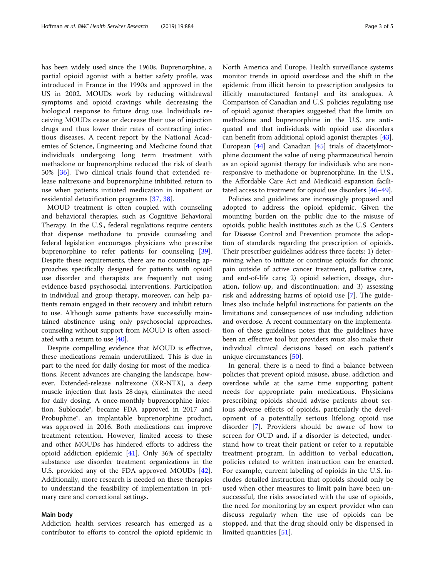has been widely used since the 1960s. Buprenorphine, a partial opioid agonist with a better safety profile, was introduced in France in the 1990s and approved in the US in 2002. MOUDs work by reducing withdrawal symptoms and opioid cravings while decreasing the biological response to future drug use. Individuals receiving MOUDs cease or decrease their use of injection drugs and thus lower their rates of contracting infectious diseases. A recent report by the National Academies of Science, Engineering and Medicine found that individuals undergoing long term treatment with methadone or buprenorphine reduced the risk of death 50% [[36\]](#page-4-0). Two clinical trials found that extended release naltrexone and buprenorphine inhibited return to use when patients initiated medication in inpatient or residential detoxification programs [\[37](#page-4-0), [38\]](#page-4-0).

MOUD treatment is often coupled with counseling and behavioral therapies, such as Cognitive Behavioral Therapy. In the U.S., federal regulations require centers that dispense methadone to provide counseling and federal legislation encourages physicians who prescribe buprenorphine to refer patients for counseling [\[39](#page-4-0)]. Despite these requirements, there are no counseling approaches specifically designed for patients with opioid use disorder and therapists are frequently not using evidence-based psychosocial interventions. Participation in individual and group therapy, moreover, can help patients remain engaged in their recovery and inhibit return to use. Although some patients have successfully maintained abstinence using only psychosocial approaches, counseling without support from MOUD is often associated with a return to use [[40](#page-4-0)].

Despite compelling evidence that MOUD is effective, these medications remain underutilized. This is due in part to the need for daily dosing for most of the medications. Recent advances are changing the landscape, however. Extended-release naltrexone (XR-NTX), a deep muscle injection that lasts 28 days, eliminates the need for daily dosing. A once-monthly buprenorphine injection, Sublocade®, became FDA approved in 2017 and Probuphine®, an implantable buprenorphine product, was approved in 2016. Both medications can improve treatment retention. However, limited access to these and other MOUDs has hindered efforts to address the opioid addiction epidemic [[41](#page-4-0)]. Only 36% of specialty substance use disorder treatment organizations in the U.S. provided any of the FDA approved MOUDs [\[42](#page-4-0)]. Additionally, more research is needed on these therapies to understand the feasibility of implementation in primary care and correctional settings.

#### Main body

Addiction health services research has emerged as a contributor to efforts to control the opioid epidemic in North America and Europe. Health surveillance systems monitor trends in opioid overdose and the shift in the epidemic from illicit heroin to prescription analgesics to illicitly manufactured fentanyl and its analogues. A Comparison of Canadian and U.S. policies regulating use of opioid agonist therapies suggested that the limits on methadone and buprenorphine in the U.S. are antiquated and that individuals with opioid use disorders can benefit from additional opioid agonist therapies [\[43](#page-4-0)]. European [[44\]](#page-4-0) and Canadian [[45](#page-4-0)] trials of diacetylmorphine document the value of using pharmaceutical heroin as an opioid agonist therapy for individuals who are nonresponsive to methadone or buprenorphine. In the U.S., the Affordable Care Act and Medicaid expansion facilitated access to treatment for opioid use disorders [\[46](#page-4-0)–[49](#page-4-0)].

Policies and guidelines are increasingly proposed and adopted to address the opioid epidemic. Given the mounting burden on the public due to the misuse of opioids, public health institutes such as the U.S. Centers for Disease Control and Prevention promote the adoption of standards regarding the prescription of opioids. Their prescriber guidelines address three facets: 1) determining when to initiate or continue opioids for chronic pain outside of active cancer treatment, palliative care, and end-of-life care; 2) opioid selection, dosage, duration, follow-up, and discontinuation; and 3) assessing risk and addressing harms of opioid use [\[7\]](#page-3-0). The guidelines also include helpful instructions for patients on the limitations and consequences of use including addiction and overdose. A recent commentary on the implementation of these guidelines notes that the guidelines have been an effective tool but providers must also make their individual clinical decisions based on each patient's unique circumstances [[50\]](#page-4-0).

In general, there is a need to find a balance between policies that prevent opioid misuse, abuse, addiction and overdose while at the same time supporting patient needs for appropriate pain medications. Physicians prescribing opioids should advise patients about serious adverse effects of opioids, particularly the development of a potentially serious lifelong opioid use disorder [[7\]](#page-3-0). Providers should be aware of how to screen for OUD and, if a disorder is detected, understand how to treat their patient or refer to a reputable treatment program. In addition to verbal education, policies related to written instruction can be enacted. For example, current labeling of opioids in the U.S. includes detailed instruction that opioids should only be used when other measures to limit pain have been unsuccessful, the risks associated with the use of opioids, the need for monitoring by an expert provider who can discuss regularly when the use of opioids can be stopped, and that the drug should only be dispensed in limited quantities [[51](#page-4-0)].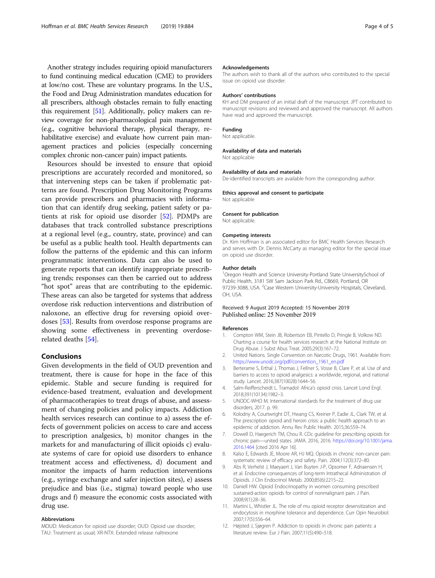<span id="page-3-0"></span>Another strategy includes requiring opioid manufacturers to fund continuing medical education (CME) to providers at low/no cost. These are voluntary programs. In the U.S., the Food and Drug Administration mandates education for all prescribers, although obstacles remain to fully enacting this requirement [\[51\]](#page-4-0). Additionally, policy makers can review coverage for non-pharmacological pain management (e.g., cognitive behavioral therapy, physical therapy, rehabilitative exercise) and evaluate how current pain management practices and policies (especially concerning complex chronic non-cancer pain) impact patients.

Resources should be invested to ensure that opioid prescriptions are accurately recorded and monitored, so that intervening steps can be taken if problematic patterns are found. Prescription Drug Monitoring Programs can provide prescribers and pharmacies with information that can identify drug seeking, patient safety or patients at risk for opioid use disorder [\[52](#page-4-0)]. PDMPs are databases that track controlled substance prescriptions at a regional level (e.g., country, state, province) and can be useful as a public health tool. Health departments can follow the patterns of the epidemic and this can inform programmatic interventions. Data can also be used to generate reports that can identify inappropriate prescribing trends; responses can then be carried out to address "hot spot" areas that are contributing to the epidemic. These areas can also be targeted for systems that address overdose risk reduction interventions and distribution of naloxone, an effective drug for reversing opioid overdoses [\[53](#page-4-0)]. Results from overdose response programs are showing some effectiveness in preventing overdoserelated deaths [[54\]](#page-4-0).

#### Conclusions

Given developments in the field of OUD prevention and treatment, there is cause for hope in the face of this epidemic. Stable and secure funding is required for evidence-based treatment, evaluation and development of pharmacotherapies to treat drugs of abuse, and assessment of changing policies and policy impacts. Addiction health services research can continue to a) assess the effects of government policies on access to care and access to prescription analgesics, b) monitor changes in the markets for and manufacturing of illicit opioids c) evaluate systems of care for opioid use disorders to enhance treatment access and effectiveness, d) document and monitor the impacts of harm reduction interventions (e.g., syringe exchange and safer injection sites), e) assess prejudice and bias (i.e., stigma) toward people who use drugs and f) measure the economic costs associated with drug use.

#### Abbreviations

MOUD: Medication for opioid use disorder; OUD: Opioid use disorder; TAU: Treatment as usual; XR-NTX: Extended release naltrexone

#### Acknowledgements

The authors wish to thank all of the authors who contributed to the special issue on opioid use disorder.

#### Authors' contributions

KH and DM prepared of an initial draft of the manuscript. JPT contributed to manuscript revisions and reviewed and approved the manuscript. All authors have read and approved the manuscript.

#### Funding

Not applicable.

#### Availability of data and materials

Not applicable

#### Availability of data and materials

De-identified transcripts are available from the corresponding author.

#### Ethics approval and consent to participate

Not applicable

#### Consent for publication

Not applicable.

#### Competing interests

Dr. Kim Hoffman is an associated editor for BMC Health Services Research and serves with Dr. Dennis McCarty as managing editor for the special issue on opioid use disorder.

#### Author details

<sup>1</sup>Oregon Health and Science University-Portland State UniversitySchool of Public Health, 3181 SW Sam Jackson Park Rd., CB669, Portland, OR 97239-3088, USA. <sup>2</sup> Case Western University-University Hospitals, Cleveland OH, USA.

#### Received: 9 August 2019 Accepted: 15 November 2019 Published online: 25 November 2019

#### References

- 1. Compton WM, Stein JB, Robertson EB, Pintello D, Pringle B, Volkow ND. Charting a course for health services research at the National Institute on Drug Abuse. J Subst Abus Treat. 2005;29(3):167–72.
- 2. United Nations. Single Convention on Narcotic Drugs, 1961. Available from: [https://www.unodc.org/pdf/convention\\_1961\\_en.pdf](https://www.unodc.org/pdf/convention_1961_en.pdf)
- 3. Berterame S, Erthal J, Thomas J, Fellner S, Vosse B, Clare P, et al. Use of and barriers to access to opioid analgesics: a worldwide, regional, and national study. Lancet. 2016;387(10028):1644–56.
- 4. Salm-Reifferscheidt L. Tramadol: Africa's opioid crisis. Lancet Lond Engl. 2018;391(10134):1982–3.
- 5. UNODC-WHO M. International standards for the treatment of drug use disorders; 2017. p. 99.
- Kolodny A, Courtwright DT, Hwang CS, Kreiner P, Eadie JL, Clark TW, et al. The prescription opioid and heroin crisis: a public health approach to an epidemic of addiction. Annu Rev Public Health. 2015;36:559–74.
- 7. Dowell D, Haegerich TM, Chou R. CDc guideline for prescribing opioids for chronic pain—united states. JAMA. 2016, 2016. [https://doi.org/10.1001/jama.](https://doi.org/10.1001/jama.2016.1464) [2016.1464](https://doi.org/10.1001/jama.2016.1464) [cited 2016 Apr 16].
- 8. Kalso E, Edwards JE, Moore AR, HJ MQ. Opioids in chronic non-cancer pain: systematic review of efficacy and safety. Pain. 2004;112(3):372–80.
- 9. Abs R, Verhelst J, Maeyaert J, Van Buyten J-P, Opsomer F, Adriaensen H, et al. Endocrine consequences of long-term Intrathecal Administration of Opioids. J Clin Endocrinol Metab. 2000;85(6):2215–22.
- 10. Daniell HW. Opioid Endocrinopathy in women consuming prescribed sustained-action opioids for control of nonmalignant pain. J Pain. 2008;9(1):28–36.
- 11. Martini L, Whistler JL. The role of mu opioid receptor desensitization and endocytosis in morphine tolerance and dependence. Curr Opin Neurobiol. 2007;17(5):556–64.
- 12. Højsted J, Sjøgren P. Addiction to opioids in chronic pain patients: a literature review. Eur J Pain. 2007;11(5):490–518.